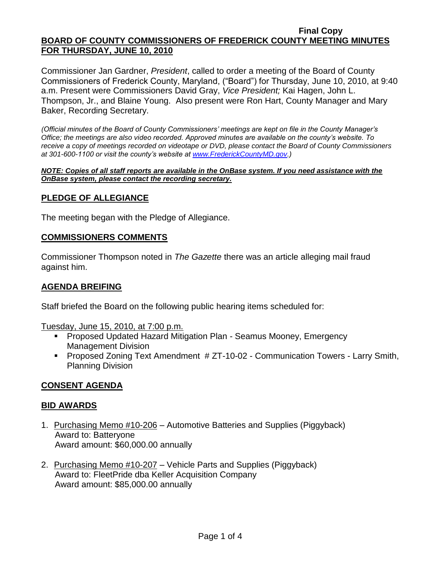Commissioner Jan Gardner, *President*, called to order a meeting of the Board of County Commissioners of Frederick County, Maryland, ("Board") for Thursday, June 10, 2010, at 9:40 a.m. Present were Commissioners David Gray, *Vice President;* Kai Hagen, John L. Thompson, Jr., and Blaine Young. Also present were Ron Hart, County Manager and Mary Baker, Recording Secretary.

*(Official minutes of the Board of County Commissioners' meetings are kept on file in the County Manager's Office; the meetings are also video recorded. Approved minutes are available on the county's website. To receive a copy of meetings recorded on videotape or DVD, please contact the Board of County Commissioners at 301-600-1100 or visit the county's website at [www.FrederickCountyMD.gov.](http://www.frederickcountymd.gov/))*

#### *NOTE: Copies of all staff reports are available in the OnBase system. If you need assistance with the OnBase system, please contact the recording secretary.*

# **PLEDGE OF ALLEGIANCE**

The meeting began with the Pledge of Allegiance.

## **COMMISSIONERS COMMENTS**

Commissioner Thompson noted in *The Gazette* there was an article alleging mail fraud against him.

# **AGENDA BREIFING**

Staff briefed the Board on the following public hearing items scheduled for:

Tuesday, June 15, 2010, at 7:00 p.m.

- Proposed Updated Hazard Mitigation Plan Seamus Mooney, Emergency Management Division
- **Proposed Zoning Text Amendment # ZT-10-02 Communication Towers Larry Smith,** Planning Division

## **CONSENT AGENDA**

## **BID AWARDS**

- 1. Purchasing Memo #10-206 Automotive Batteries and Supplies (Piggyback) Award to: Batteryone Award amount: \$60,000.00 annually
- 2. Purchasing Memo #10-207 Vehicle Parts and Supplies (Piggyback) Award to: FleetPride dba Keller Acquisition Company Award amount: \$85,000.00 annually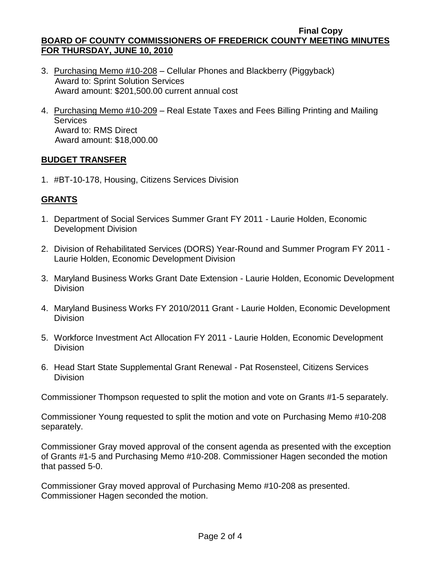- 3. Purchasing Memo #10-208 Cellular Phones and Blackberry (Piggyback) Award to: Sprint Solution Services Award amount: \$201,500.00 current annual cost
- 4. Purchasing Memo #10-209 Real Estate Taxes and Fees Billing Printing and Mailing **Services**  Award to: RMS Direct Award amount: \$18,000.00

# **BUDGET TRANSFER**

1. #BT-10-178, Housing, Citizens Services Division

# **GRANTS**

- 1. Department of Social Services Summer Grant FY 2011 Laurie Holden, Economic Development Division
- 2. Division of Rehabilitated Services (DORS) Year-Round and Summer Program FY 2011 Laurie Holden, Economic Development Division
- 3. Maryland Business Works Grant Date Extension Laurie Holden, Economic Development **Division**
- 4. Maryland Business Works FY 2010/2011 Grant Laurie Holden, Economic Development Division
- 5. Workforce Investment Act Allocation FY 2011 Laurie Holden, Economic Development Division
- 6. Head Start State Supplemental Grant Renewal Pat Rosensteel, Citizens Services **Division**

Commissioner Thompson requested to split the motion and vote on Grants #1-5 separately.

Commissioner Young requested to split the motion and vote on Purchasing Memo #10-208 separately.

Commissioner Gray moved approval of the consent agenda as presented with the exception of Grants #1-5 and Purchasing Memo #10-208. Commissioner Hagen seconded the motion that passed 5-0.

Commissioner Gray moved approval of Purchasing Memo #10-208 as presented. Commissioner Hagen seconded the motion.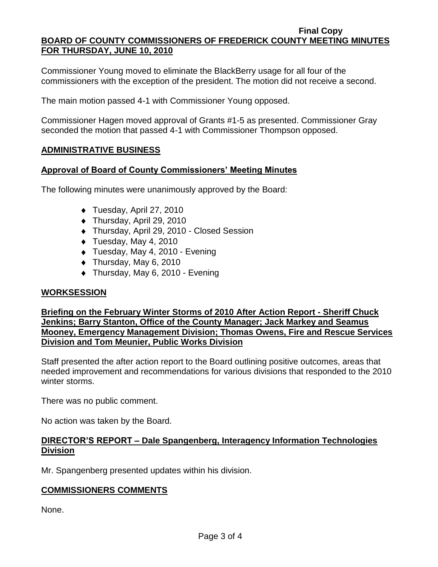Commissioner Young moved to eliminate the BlackBerry usage for all four of the commissioners with the exception of the president. The motion did not receive a second.

The main motion passed 4-1 with Commissioner Young opposed.

Commissioner Hagen moved approval of Grants #1-5 as presented. Commissioner Gray seconded the motion that passed 4-1 with Commissioner Thompson opposed.

## **ADMINISTRATIVE BUSINESS**

### **Approval of Board of County Commissioners' Meeting Minutes**

The following minutes were unanimously approved by the Board:

- ◆ Tuesday, April 27, 2010
- ◆ Thursday, April 29, 2010
- Thursday, April 29, 2010 Closed Session
- $\bullet$  Tuesday, May 4, 2010
- ◆ Tuesday, May 4, 2010 Evening
- $\bullet$  Thursday, May 6, 2010
- ◆ Thursday, May 6, 2010 Evening

## **WORKSESSION**

**Briefing on the February Winter Storms of 2010 After Action Report - Sheriff Chuck Jenkins; Barry Stanton, Office of the County Manager; Jack Markey and Seamus Mooney, Emergency Management Division; Thomas Owens, Fire and Rescue Services Division and Tom Meunier, Public Works Division**

Staff presented the after action report to the Board outlining positive outcomes, areas that needed improvement and recommendations for various divisions that responded to the 2010 winter storms.

There was no public comment.

No action was taken by the Board.

# **DIRECTOR'S REPORT – Dale Spangenberg, Interagency Information Technologies Division**

Mr. Spangenberg presented updates within his division.

## **COMMISSIONERS COMMENTS**

None.